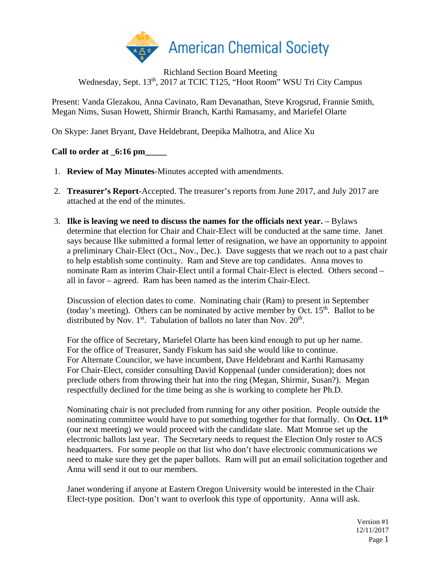

Richland Section Board Meeting Wednesday, Sept. 13<sup>th</sup>, 2017 at TCIC T125, "Hoot Room" WSU Tri City Campus

Present: Vanda Glezakou, Anna Cavinato, Ram Devanathan, Steve Krogsrud, Frannie Smith, Megan Nims, Susan Howett, Shirmir Branch, Karthi Ramasamy, and Mariefel Olarte

On Skype: Janet Bryant, Dave Heldebrant, Deepika Malhotra, and Alice Xu

# **Call to order at \_6:16 pm\_\_\_\_\_**

- 1. **Review of May Minutes**-Minutes accepted with amendments.
- 2. **Treasurer's Report**-Accepted. The treasurer's reports from June 2017, and July 2017 are attached at the end of the minutes.
- 3. **Ilke is leaving we need to discuss the names for the officials next year.** Bylaws determine that election for Chair and Chair-Elect will be conducted at the same time. Janet says because Ilke submitted a formal letter of resignation, we have an opportunity to appoint a preliminary Chair-Elect (Oct., Nov., Dec.). Dave suggests that we reach out to a past chair to help establish some continuity. Ram and Steve are top candidates. Anna moves to nominate Ram as interim Chair-Elect until a formal Chair-Elect is elected. Others second – all in favor – agreed. Ram has been named as the interim Chair-Elect.

Discussion of election dates to come. Nominating chair (Ram) to present in September (today's meeting). Others can be nominated by active member by Oct.  $15<sup>th</sup>$ . Ballot to be distributed by Nov.  $1^{st}$ . Tabulation of ballots no later than Nov.  $20^{th}$ .

For the office of Secretary, Mariefel Olarte has been kind enough to put up her name. For the office of Treasurer, Sandy Fiskum has said she would like to continue. For Alternate Councilor, we have incumbent, Dave Heldebrant and Karthi Ramasamy For Chair-Elect, consider consulting David Koppenaal (under consideration); does not preclude others from throwing their hat into the ring (Megan, Shirmir, Susan?). Megan respectfully declined for the time being as she is working to complete her Ph.D.

Nominating chair is not precluded from running for any other position. People outside the nominating committee would have to put something together for that formally. On **Oct. 11th** (our next meeting) we would proceed with the candidate slate. Matt Monroe set up the electronic ballots last year. The Secretary needs to request the Election Only roster to ACS headquarters. For some people on that list who don't have electronic communications we need to make sure they get the paper ballots. Ram will put an email solicitation together and Anna will send it out to our members.

Janet wondering if anyone at Eastern Oregon University would be interested in the Chair Elect-type position. Don't want to overlook this type of opportunity. Anna will ask.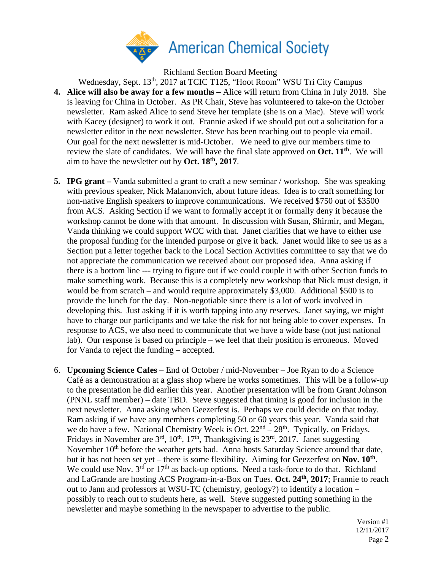

Richland Section Board Meeting

- Wednesday, Sept. 13<sup>th</sup>, 2017 at TCIC T125, "Hoot Room" WSU Tri City Campus **4. Alice will also be away for a few months –** Alice will return from China in July 2018. She is leaving for China in October.As PR Chair, Steve has volunteered to take-on the October newsletter. Ram asked Alice to send Steve her template (she is on a Mac). Steve will work with Kacey (designer) to work it out. Frannie asked if we should put out a solicitation for a newsletter editor in the next newsletter. Steve has been reaching out to people via email. Our goal for the next newsletter is mid-October. We need to give our members time to review the slate of candidates. We will have the final slate approved on **Oct. 11th**. We will aim to have the newsletter out by **Oct. 18th, 2017**.
- **5. IPG grant –** Vanda submitted a grant to craft a new seminar / workshop. She was speaking with previous speaker, Nick Malanonvich, about future ideas. Idea is to craft something for non-native English speakers to improve communications. We received \$750 out of \$3500 from ACS. Asking Section if we want to formally accept it or formally deny it because the workshop cannot be done with that amount. In discussion with Susan, Shirmir, and Megan, Vanda thinking we could support WCC with that. Janet clarifies that we have to either use the proposal funding for the intended purpose or give it back. Janet would like to see us as a Section put a letter together back to the Local Section Activities committee to say that we do not appreciate the communication we received about our proposed idea. Anna asking if there is a bottom line --- trying to figure out if we could couple it with other Section funds to make something work. Because this is a completely new workshop that Nick must design, it would be from scratch – and would require approximately \$3,000. Additional \$500 is to provide the lunch for the day. Non-negotiable since there is a lot of work involved in developing this. Just asking if it is worth tapping into any reserves. Janet saying, we might have to charge our participants and we take the risk for not being able to cover expenses. In response to ACS, we also need to communicate that we have a wide base (not just national lab). Our response is based on principle – we feel that their position is erroneous. Moved for Vanda to reject the funding – accepted.
- 6. **Upcoming Science Cafes** End of October / mid-November Joe Ryan to do a Science Café as a demonstration at a glass shop where he works sometimes. This will be a follow-up to the presentation he did earlier this year. Another presentation will be from Grant Johnson (PNNL staff member) – date TBD. Steve suggested that timing is good for inclusion in the next newsletter. Anna asking when Geezerfest is. Perhaps we could decide on that today. Ram asking if we have any members completing 50 or 60 years this year. Vanda said that we do have a few. National Chemistry Week is Oct.  $22<sup>nd</sup> - 28<sup>th</sup>$ . Typically, on Fridays. Fridays in November are  $3<sup>rd</sup>$ ,  $10<sup>th</sup>$ ,  $17<sup>th</sup>$ , Thanksgiving is  $23<sup>rd</sup>$ ,  $2017$ . Janet suggesting November 10<sup>th</sup> before the weather gets bad. Anna hosts Saturday Science around that date, but it has not been set yet – there is some flexibility. Aiming for Geezerfest on **Nov. 10th**. We could use Nov.  $3^{rd}$  or  $17^{th}$  as back-up options. Need a task-force to do that. Richland and LaGrande are hosting ACS Program-in-a-Box on Tues. **Oct. 24th, 2017**; Frannie to reach out to Jann and professors at WSU-TC (chemistry, geology?) to identify a location – possibly to reach out to students here, as well. Steve suggested putting something in the newsletter and maybe something in the newspaper to advertise to the public.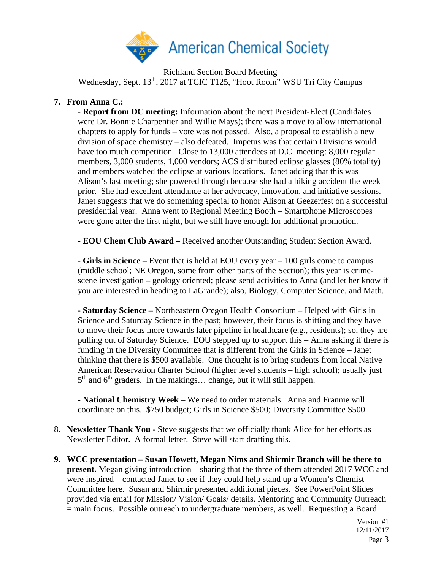

Richland Section Board Meeting Wednesday, Sept. 13<sup>th</sup>, 2017 at TCIC T125, "Hoot Room" WSU Tri City Campus

# **7. From Anna C.:**

**- Report from DC meeting:** Information about the next President-Elect (Candidates were Dr. Bonnie Charpentier and Willie Mays); there was a move to allow international chapters to apply for funds – vote was not passed. Also, a proposal to establish a new division of space chemistry – also defeated. Impetus was that certain Divisions would have too much competition. Close to 13,000 attendees at D.C. meeting: 8,000 regular members, 3,000 students, 1,000 vendors; ACS distributed eclipse glasses (80% totality) and members watched the eclipse at various locations. Janet adding that this was Alison's last meeting; she powered through because she had a biking accident the week prior. She had excellent attendance at her advocacy, innovation, and initiative sessions. Janet suggests that we do something special to honor Alison at Geezerfest on a successful presidential year. Anna went to Regional Meeting Booth – Smartphone Microscopes were gone after the first night, but we still have enough for additional promotion.

**- EOU Chem Club Award –** Received another Outstanding Student Section Award.

**- Girls in Science –** Event that is held at EOU every year – 100 girls come to campus (middle school; NE Oregon, some from other parts of the Section); this year is crimescene investigation – geology oriented; please send activities to Anna (and let her know if you are interested in heading to LaGrande); also, Biology, Computer Science, and Math.

**- Saturday Science –** Northeastern Oregon Health Consortium – Helped with Girls in Science and Saturday Science in the past; however, their focus is shifting and they have to move their focus more towards later pipeline in healthcare (e.g., residents); so, they are pulling out of Saturday Science. EOU stepped up to support this – Anna asking if there is funding in the Diversity Committee that is different from the Girls in Science – Janet thinking that there is \$500 available. One thought is to bring students from local Native American Reservation Charter School (higher level students – high school); usually just  $5<sup>th</sup>$  and  $6<sup>th</sup>$  graders. In the makings... change, but it will still happen.

**- National Chemistry Week** – We need to order materials. Anna and Frannie will coordinate on this. \$750 budget; Girls in Science \$500; Diversity Committee \$500.

- 8. **Newsletter Thank You -** Steve suggests that we officially thank Alice for her efforts as Newsletter Editor. A formal letter. Steve will start drafting this.
- **9. WCC presentation – Susan Howett, Megan Nims and Shirmir Branch will be there to present.** Megan giving introduction – sharing that the three of them attended 2017 WCC and were inspired – contacted Janet to see if they could help stand up a Women's Chemist Committee here. Susan and Shirmir presented additional pieces. See PowerPoint Slides provided via email for Mission/ Vision/ Goals/ details. Mentoring and Community Outreach = main focus. Possible outreach to undergraduate members, as well. Requesting a Board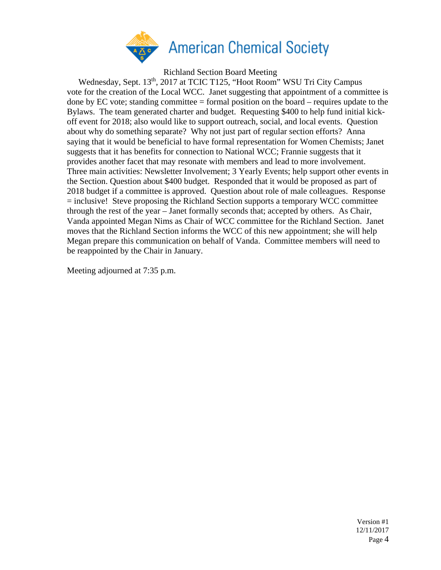

Richland Section Board Meeting

Wednesday, Sept. 13<sup>th</sup>, 2017 at TCIC T125, "Hoot Room" WSU Tri City Campus vote for the creation of the Local WCC. Janet suggesting that appointment of a committee is done by EC vote; standing committee  $=$  formal position on the board  $-$  requires update to the Bylaws. The team generated charter and budget. Requesting \$400 to help fund initial kickoff event for 2018; also would like to support outreach, social, and local events. Question about why do something separate? Why not just part of regular section efforts? Anna saying that it would be beneficial to have formal representation for Women Chemists; Janet suggests that it has benefits for connection to National WCC; Frannie suggests that it provides another facet that may resonate with members and lead to more involvement. Three main activities: Newsletter Involvement; 3 Yearly Events; help support other events in the Section. Question about \$400 budget. Responded that it would be proposed as part of 2018 budget if a committee is approved. Question about role of male colleagues. Response = inclusive! Steve proposing the Richland Section supports a temporary WCC committee through the rest of the year – Janet formally seconds that; accepted by others. As Chair, Vanda appointed Megan Nims as Chair of WCC committee for the Richland Section.Janet moves that the Richland Section informs the WCC of this new appointment; she will help Megan prepare this communication on behalf of Vanda. Committee members will need to be reappointed by the Chair in January.

Meeting adjourned at 7:35 p.m.

Version #1 12/11/2017 Page 4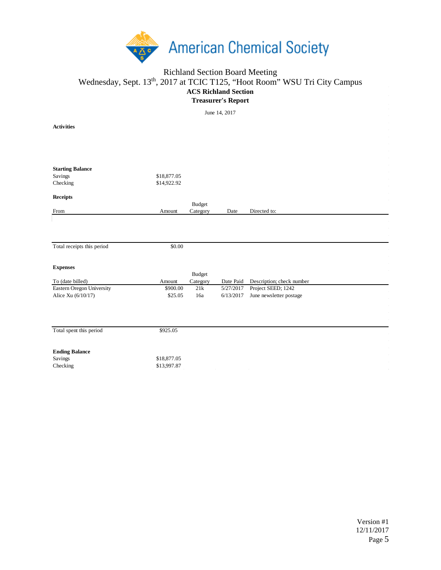

### Richland Section Board Meeting Wednesday, Sept. 13<sup>th</sup>, 2017 at TCIC T125, "Hoot Room" WSU Tri City Campus **ACS Richland Section Treasurer's Report** June 14, 2017

**Activities**

**Starting Balance** Savings \$18,877.05 Checking \$14,922.92 **Receipts** From Amount Budget Category Date Directed to: Total receipts this period \$0.00 **Expenses** To (date billed) Amount Budget Category Date Paid Description; check number Eastern Oregon University \$900.00 21k 5/27/2017 Project SEED; 1242 Alice Xu (6/10/17) \$25.05 16a 6/13/2017 June newsletter postage Total spent this period \$925.05 **Ending Balance** Savings \$18,877.05 Checking \$13,997.87